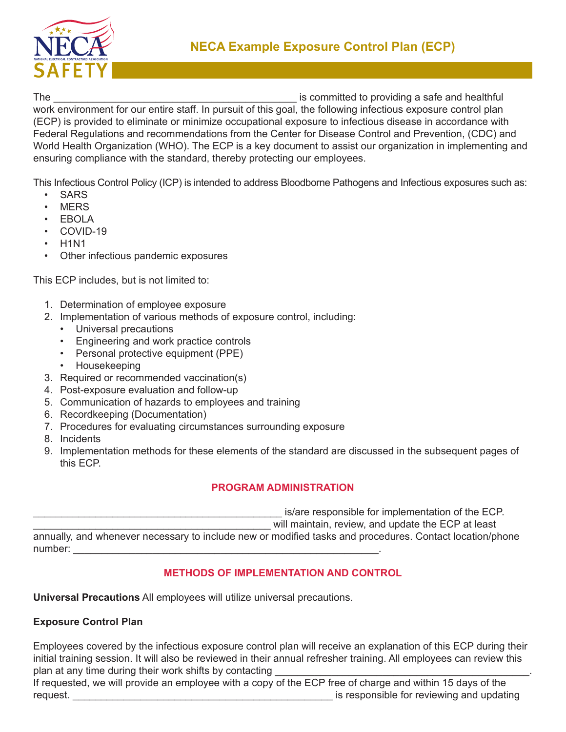

The the committed to providing a safe and healthful state and healthful state and healthful

work environment for our entire staff. In pursuit of this goal, the following infectious exposure control plan (ECP) is provided to eliminate or minimize occupational exposure to infectious disease in accordance with Federal Regulations and recommendations from the Center for Disease Control and Prevention, (CDC) and World Health Organization (WHO). The ECP is a key document to assist our organization in implementing and ensuring compliance with the standard, thereby protecting our employees.

This Infectious Control Policy (ICP) is intended to address Bloodborne Pathogens and Infectious exposures such as:

- **SARS**
- **MERS**
- EBOLA
- COVID-19
- H1N1
- Other infectious pandemic exposures

This ECP includes, but is not limited to:

- 1. Determination of employee exposure
- 2. Implementation of various methods of exposure control, including:
	- Universal precautions
	- Engineering and work practice controls
	- Personal protective equipment (PPE)
	- Housekeeping
- 3. Required or recommended vaccination(s)
- 4. Post-exposure evaluation and follow-up
- 5. Communication of hazards to employees and training
- 6. Recordkeeping (Documentation)
- 7. Procedures for evaluating circumstances surrounding exposure
- 8. Incidents
- 9. Implementation methods for these elements of the standard are discussed in the subsequent pages of this ECP.

# **PROGRAM ADMINISTRATION**

is/are responsible for implementation of the ECP.

will maintain, review, and update the ECP at least

annually, and whenever necessary to include new or modified tasks and procedures. Contact location/phone number:

# **METHODS OF IMPLEMENTATION AND CONTROL**

**Universal Precautions** All employees will utilize universal precautions.

# **Exposure Control Plan**

Employees covered by the infectious exposure control plan will receive an explanation of this ECP during their initial training session. It will also be reviewed in their annual refresher training. All employees can review this plan at any time during their work shifts by contacting

If requested, we will provide an employee with a copy of the ECP free of charge and within 15 days of the request. The contract of the contract of the contract of the contract of the contract of the contract of the contract of the contract of the contract of the contract of the contract of the contract of the contract of the c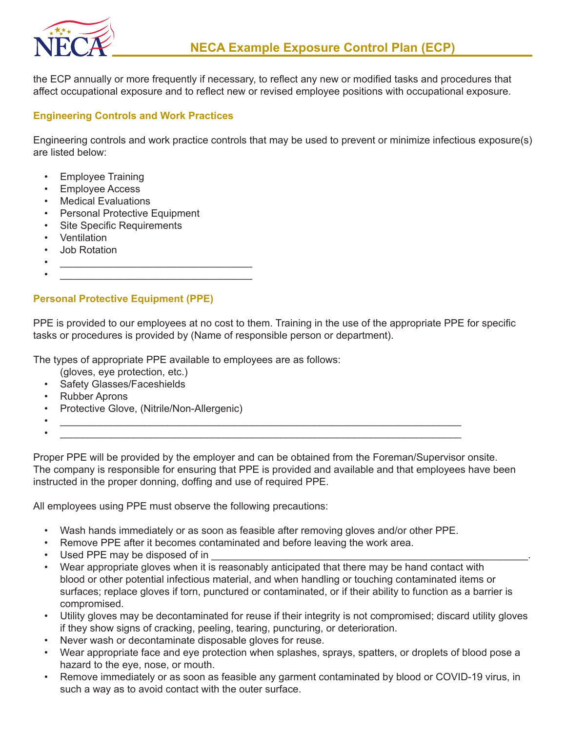

the ECP annually or more frequently if necessary, to reflect any new or modified tasks and procedures that affect occupational exposure and to reflect new or revised employee positions with occupational exposure.

### **Engineering Controls and Work Practices**

Engineering controls and work practice controls that may be used to prevent or minimize infectious exposure(s) are listed below:

- Employee Training
- Employee Access
- Medical Evaluations
- Personal Protective Equipment
- Site Specific Requirements
- Ventilation
- Job Rotation
- $\bullet$   $\qquad \qquad$  $\bullet$   $\qquad \qquad$

#### **Personal Protective Equipment (PPE)**

PPE is provided to our employees at no cost to them. Training in the use of the appropriate PPE for specific tasks or procedures is provided by (Name of responsible person or department).

The types of appropriate PPE available to employees are as follows:

- (gloves, eye protection, etc.)
- Safety Glasses/Faceshields
- Rubber Aprons
- Protective Glove, (Nitrile/Non-Allergenic)
- $\overline{\phantom{a}}$  ,  $\overline{\phantom{a}}$  ,  $\overline{\phantom{a}}$  ,  $\overline{\phantom{a}}$  ,  $\overline{\phantom{a}}$  ,  $\overline{\phantom{a}}$  ,  $\overline{\phantom{a}}$  ,  $\overline{\phantom{a}}$  ,  $\overline{\phantom{a}}$  ,  $\overline{\phantom{a}}$  ,  $\overline{\phantom{a}}$  ,  $\overline{\phantom{a}}$  ,  $\overline{\phantom{a}}$  ,  $\overline{\phantom{a}}$  ,  $\overline{\phantom{a}}$  ,  $\overline{\phantom{a$ •  $\overline{\phantom{a}}$  ,  $\overline{\phantom{a}}$  ,  $\overline{\phantom{a}}$  ,  $\overline{\phantom{a}}$  ,  $\overline{\phantom{a}}$  ,  $\overline{\phantom{a}}$  ,  $\overline{\phantom{a}}$  ,  $\overline{\phantom{a}}$  ,  $\overline{\phantom{a}}$  ,  $\overline{\phantom{a}}$  ,  $\overline{\phantom{a}}$  ,  $\overline{\phantom{a}}$  ,  $\overline{\phantom{a}}$  ,  $\overline{\phantom{a}}$  ,  $\overline{\phantom{a}}$  ,  $\overline{\phantom{a$

Proper PPE will be provided by the employer and can be obtained from the Foreman/Supervisor onsite. The company is responsible for ensuring that PPE is provided and available and that employees have been instructed in the proper donning, doffing and use of required PPE.

All employees using PPE must observe the following precautions:

- Wash hands immediately or as soon as feasible after removing gloves and/or other PPE.
- Remove PPE after it becomes contaminated and before leaving the work area.
- Used PPE may be disposed of in
- Wear appropriate gloves when it is reasonably anticipated that there may be hand contact with blood or other potential infectious material, and when handling or touching contaminated items or surfaces; replace gloves if torn, punctured or contaminated, or if their ability to function as a barrier is compromised.
- Utility gloves may be decontaminated for reuse if their integrity is not compromised; discard utility gloves if they show signs of cracking, peeling, tearing, puncturing, or deterioration.
- Never wash or decontaminate disposable gloves for reuse.
- Wear appropriate face and eye protection when splashes, sprays, spatters, or droplets of blood pose a hazard to the eye, nose, or mouth.
- Remove immediately or as soon as feasible any garment contaminated by blood or COVID-19 virus, in such a way as to avoid contact with the outer surface.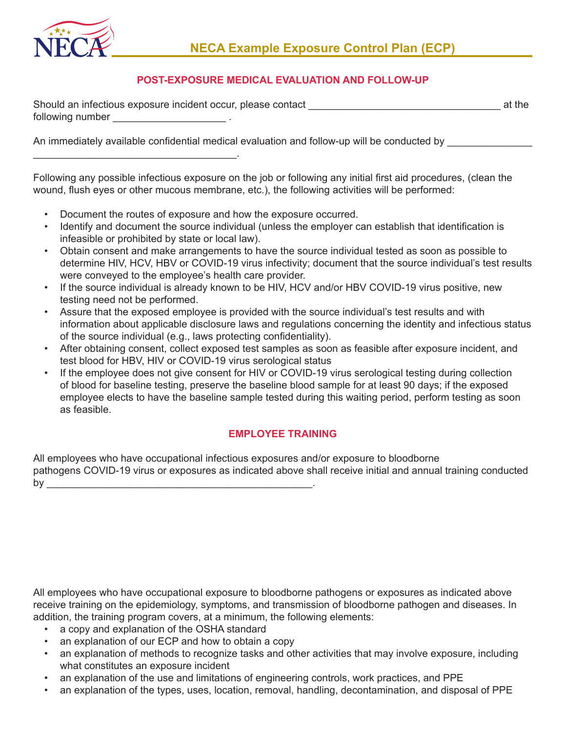

#### **POST-EXPOSURE MEDICAL EVALUATION AND FOLLOW-UP**

| Should an infectious exposure incident occur, please contact | at the |
|--------------------------------------------------------------|--------|
| following number                                             |        |

An immediately available confidential medical evaluation and follow-up will be conducted by

Following any possible infectious exposure on the job or following any initial first aid procedures, (clean the wound, flush eyes or other mucous membrane, etc.), the following activities will be performed:

• Document the routes of exposure and how the exposure occurred.

\_\_\_\_\_\_\_\_\_\_\_\_\_\_\_\_\_\_\_\_\_\_\_\_\_\_\_\_\_\_\_\_\_\_\_\_.

- Identify and document the source individual (unless the employer can establish that identification is infeasible or prohibited by state or local law).
- Obtain consent and make arrangements to have the source individual tested as soon as possible to determine HIV, HCV, HBV or COVID-19 virus infectivity; document that the source individual's test results were conveyed to the employee's health care provider.
- If the source individual is already known to be HIV, HCV and/or HBV COVID-19 virus positive, new testing need not be performed.
- Assure that the exposed employee is provided with the source individual's test results and with information about applicable disclosure laws and regulations concerning the identity and infectious status of the source individual (e.g., laws protecting confidentiality).
- After obtaining consent, collect exposed test samples as soon as feasible after exposure incident, and test blood for HBV, HIV or COVID-19 virus serological status
- If the employee does not give consent for HIV or COVID-19 virus serological testing during collection of blood for baseline testing, preserve the baseline blood sample for at least 90 days; if the exposed employee elects to have the baseline sample tested during this waiting period, perform testing as soon as feasible.

#### **EMPLOYEE TRAINING**

All employees who have occupational infectious exposures and/or exposure to bloodborne pathogens COVID-19 virus or exposures as indicated above shall receive initial and annual training conducted by  $\Box$ 

All employees who have occupational exposure to bloodborne pathogens or exposures as indicated above receive training on the epidemiology, symptoms, and transmission of bloodborne pathogen and diseases. In addition, the training program covers, at a minimum, the following elements:

- a copy and explanation of the OSHA standard
- an explanation of our ECP and how to obtain a copy
- an explanation of methods to recognize tasks and other activities that may involve exposure, including what constitutes an exposure incident
- an explanation of the use and limitations of engineering controls, work practices, and PPE
- an explanation of the types, uses, location, removal, handling, decontamination, and disposal of PPE